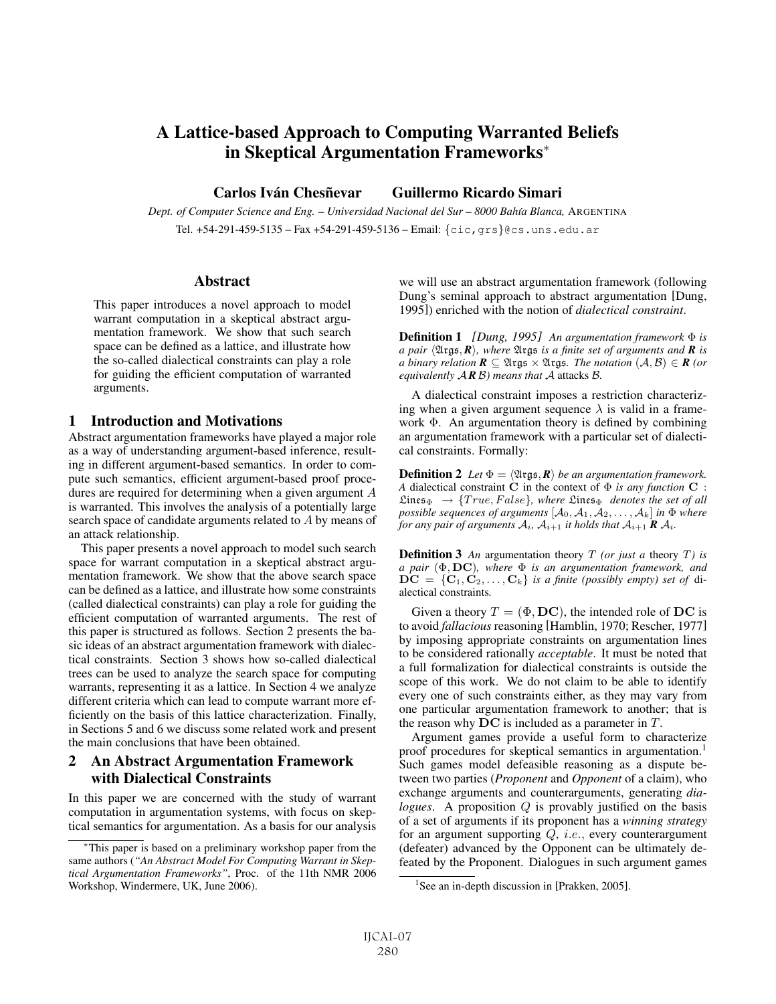# A Lattice-based Approach to Computing Warranted Beliefs in Skeptical Argumentation Frameworks<sup>∗</sup>

Carlos Iván Chesñevar Guillermo Ricardo Simari

*Dept. of Computer Science and Eng. – Universidad Nacional del Sur – 8000 Bah´ıa Blanca,* ARGENTINA Tel. +54-291-459-5135 – Fax +54-291-459-5136 – Email: {cic,grs}@cs.uns.edu.ar

#### Abstract

This paper introduces a novel approach to model warrant computation in a skeptical abstract argumentation framework. We show that such search space can be defined as a lattice, and illustrate how the so-called dialectical constraints can play a role for guiding the efficient computation of warranted arguments.

### 1 Introduction and Motivations

Abstract argumentation frameworks have played a major role as a way of understanding argument-based inference, resulting in different argument-based semantics. In order to compute such semantics, efficient argument-based proof procedures are required for determining when a given argument A is warranted. This involves the analysis of a potentially large search space of candidate arguments related to A by means of an attack relationship.

This paper presents a novel approach to model such search space for warrant computation in a skeptical abstract argumentation framework. We show that the above search space can be defined as a lattice, and illustrate how some constraints (called dialectical constraints) can play a role for guiding the efficient computation of warranted arguments. The rest of this paper is structured as follows. Section 2 presents the basic ideas of an abstract argumentation framework with dialectical constraints. Section 3 shows how so-called dialectical trees can be used to analyze the search space for computing warrants, representing it as a lattice. In Section 4 we analyze different criteria which can lead to compute warrant more efficiently on the basis of this lattice characterization. Finally, in Sections 5 and 6 we discuss some related work and present the main conclusions that have been obtained.

# 2 An Abstract Argumentation Framework with Dialectical Constraints

In this paper we are concerned with the study of warrant computation in argumentation systems, with focus on skeptical semantics for argumentation. As a basis for our analysis we will use an abstract argumentation framework (following Dung's seminal approach to abstract argumentation [Dung, 1995]) enriched with the notion of *dialectical constraint*.

Definition 1 *[Dung, 1995] An argumentation framework* Φ *is a pair*  $\langle \mathfrak{Ass}, \mathbf{R} \rangle$ , where  $\mathfrak{Ass}$  *is a finite set of arguments and R <i>is a binary relation R*  $\subset$   $\mathfrak{Ass}$   $\subset$   $\mathfrak{Ass}$   $\mathfrak{Ass}$   $\subset$   $\mathfrak{Ass}$   $\subset$   $\mathfrak{Ass}$   $\subset$   $\mathfrak{Ass}$   $\subset$   $\mathfrak{Ass}$   $\subset$ *a binary relation*  $\mathbf{R}$  ⊆  $\mathfrak{Args}$  ×  $\mathfrak{Args}$ *. The notation*  $(A, B)$  ∈  $\mathbf{R}$  *(or equivalently* A *R* B*) means that* A attacks B*.*

A dialectical constraint imposes a restriction characterizing when a given argument sequence  $\lambda$  is valid in a framework  $\Phi$ . An argumentation theory is defined by combining an argumentation framework with a particular set of dialectical constraints. Formally:

**Definition 2** *Let*  $\Phi = \langle \mathfrak{Alg}_5 \mathbf{R} \rangle$  *be an argumentation framework.*<br>A dialectical constraint C in the context of  $\Phi$  *is any function* C. *A* dialectical constraint **C** in the context of  $\Phi$  *is any function* **C** :  $\mathfrak{Lines}_{\Phi} \rightarrow \{True, False\}$ , where  $\mathfrak{Lines}_{\Phi}$  *denotes the set of all possible sequences of arguments*  $[A_0, A_1, A_2, \ldots, A_k]$  *in*  $\Phi$  *where for any pair of arguments*  $A_i$ ,  $A_{i+1}$  *it holds that*  $A_{i+1}$  **R**  $A_i$ .

Definition 3 *An* argumentation theory T *(or just a* theory T*) is a pair* (Φ, **DC**)*, where* <sup>Φ</sup> *is an argumentation framework, and*  $DC = \{C_1, C_2, \ldots, C_k\}$  *is a finite (possibly empty) set of di*alectical constraints*.*

Given a theory  $T = (\Phi, \mathbf{DC})$ , the intended role of DC is to avoid *fallacious* reasoning [Hamblin, 1970; Rescher, 1977] by imposing appropriate constraints on argumentation lines to be considered rationally *acceptable*. It must be noted that a full formalization for dialectical constraints is outside the scope of this work. We do not claim to be able to identify every one of such constraints either, as they may vary from one particular argumentation framework to another; that is the reason why **DC** is included as a parameter in T.

Argument games provide a useful form to characterize proof procedures for skeptical semantics in argumentation.<sup>1</sup> Such games model defeasible reasoning as a dispute between two parties (*Proponent* and *Opponent* of a claim), who exchange arguments and counterarguments, generating *dialogues*. A proposition Q is provably justified on the basis of a set of arguments if its proponent has a *winning strategy* for an argument supporting Q, i.e., every counterargument (defeater) advanced by the Opponent can be ultimately defeated by the Proponent. Dialogues in such argument games

<sup>∗</sup>This paper is based on a preliminary workshop paper from the same authors (*"An Abstract Model For Computing Warrant in Skeptical Argumentation Frameworks"*, Proc. of the 11th NMR 2006 Workshop, Windermere, UK, June 2006).

<sup>&</sup>lt;sup>1</sup>See an in-depth discussion in [Prakken, 2005].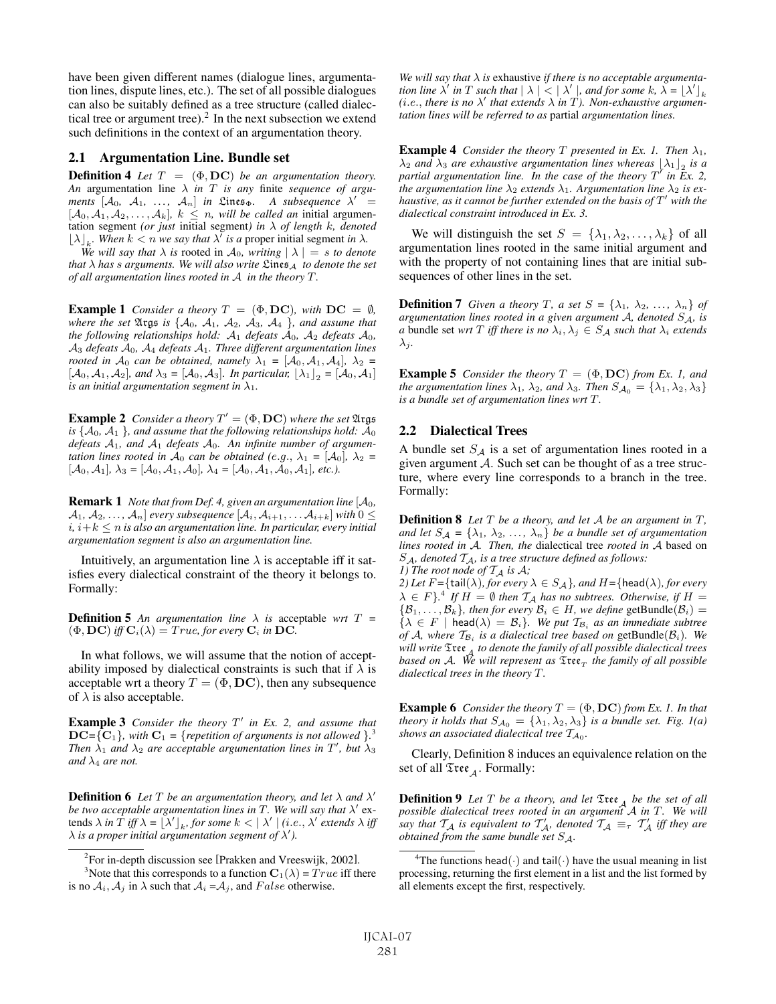have been given different names (dialogue lines, argumentation lines, dispute lines, etc.). The set of all possible dialogues can also be suitably defined as a tree structure (called dialectical tree or argument tree). $2$  In the next subsection we extend such definitions in the context of an argumentation theory.

#### 2.1 Argumentation Line. Bundle set

**Definition 4** *Let*  $T = (\Phi, \mathbf{DC})$  *be an argumentation theory. An* argumentation line λ *in* T *is any* finite *sequence of arguments*  $[A_0, A_1, \ldots, A_n]$  *in* Lines<sub> $\Phi$ </sub>. A subsequence  $\lambda'$  $[A_0, A_1, A_2, \ldots, A_k]$ *,*  $k \leq n$ *, will be called an* initial argumentation segment *(or just* initial segment*)* in  $\lambda$  *of length* k*, denoted*  $|\lambda|$ . When  $k < n$  we say that  $\lambda'$  is a proper initial segment in  $\lambda$ 

 $\lfloor \lambda \rfloor_k$ *. When*  $k < n$  *we say that*  $\lambda'$  *is a* proper initial segment *in*  $\lambda$ .<br>*We will say that*  $\lambda$  *is rooted in*  $A_0$  *writing*  $\lfloor \lambda \rfloor = s$  *to deno We will say that*  $\lambda$  *is* rooted in  $\mathcal{A}_0$ *, writing*  $|\lambda| = s$  *to denote that*  $\lambda$  *has s arguments. We will also write*  $\mathcal{L}$ ines<sub>A</sub> *to denote the set of all argumentation lines rooted in* <sup>A</sup> *in the theory* T*.*

**Example 1** *Consider a theory*  $T = (\Phi, \mathbf{DC})$ *, with*  $\mathbf{DC} = \emptyset$ *, where the set*  $\mathfrak{Args}$  *is*  $\{A_0, \, A_1, \, A_2, \, A_3, \, A_4\}$ *, and assume that the following relationships hold:*  $A_1$  *defeats*  $A_0$ *,*  $A_2$  *defeats*  $A_0$ *,* A<sup>3</sup> *defeats* A0*,* A<sup>4</sup> *defeats* A1*. Three different argumentation lines rooted in*  $A_0$  *can be obtained, namely*  $\lambda_1 = [A_0, A_1, A_4]$ ,  $\lambda_2 =$  $[\mathcal{A}_0, \mathcal{A}_1, \mathcal{A}_2]$ *, and*  $\lambda_3 = [\mathcal{A}_0, \mathcal{A}_3]$ *. In particular,*  $[\lambda_1]_2 = [\mathcal{A}_0, \mathcal{A}_1]$ *is an initial argumentation segment in*  $\lambda_1$ *.* 

**Example 2** *Consider a theory*  $T' = (\Phi, \mathbf{DC})$  *where the set*  $\mathfrak{Arg}$ *is*  $\{A_0, A_1\}$ *, and assume that the following relationships hold:*  $A_0$ *defeats* A1*, and* A<sup>1</sup> *defeats* A0*. An infinite number of argumentation lines rooted in*  $A_0$  *can be obtained (e.g.,*  $\lambda_1 = [A_0]$ ,  $\lambda_2 =$  $[\mathcal{A}_0, \mathcal{A}_1]$ ,  $\lambda_3 = [\mathcal{A}_0, \mathcal{A}_1, \mathcal{A}_0]$ ,  $\lambda_4 = [\mathcal{A}_0, \mathcal{A}_1, \mathcal{A}_0, \mathcal{A}_1]$ , etc.).

Remark 1 *Note that from Def. 4, given an argumentation line* [A0*,*  $\mathcal{A}_1, \mathcal{A}_2, \ldots, \mathcal{A}_n$  *every subsequence*  $[\mathcal{A}_i, \mathcal{A}_{i+1}, \ldots, \mathcal{A}_{i+k}]$  *with*  $0 \leq$  $i, i+k \leq n$  *is also an argumentation line. In particular, every initial argumentation segment is also an argumentation line.*

Intuitively, an argumentation line  $\lambda$  is acceptable iff it satisfies every dialectical constraint of the theory it belongs to. Formally:

**Definition 5** An argumentation line  $\lambda$  is acceptable wrt  $T =$  $(\Phi, \mathbf{DC})$  *iff*  $\mathbf{C}_i(\lambda) = True$ *, for every*  $\mathbf{C}_i$  *in* DC*.* 

In what follows, we will assume that the notion of acceptability imposed by dialectical constraints is such that if  $\lambda$  is acceptable wrt a theory  $T = (\Phi, \mathbf{DC})$ , then any subsequence of  $\lambda$  is also acceptable.

**Example 3** *Consider the theory*  $T'$  *in Ex. 2, and assume that*  $DC = \{C_1\}$ , with  $C_1 = \{$  *repetition of arguments is not allowed*  $\}$ . *Then*  $\lambda_1$  *and*  $\lambda_2$  *are acceptable argumentation lines in*  $T'$ , *but*  $\lambda_3$ <br>*and*  $\lambda_4$  *are not and*  $\lambda_4$  *are not.* 

**Definition 6** Let T be an argumentation theory, and let  $\lambda$  and  $\lambda'$ *be two acceptable argumentation lines in*  $T$ *. We will say that*  $\lambda'$  extends  $\lambda$  *in*  $T$  *iff*  $\lambda = \left[ \lambda' \right]_k$ , for some  $k < \left[ \lambda' \right]$  (*i.e.*,  $\lambda'$  *extends*  $\lambda$  *iff*  $\lambda$  *is a proper initial argumentation segment of*  $\lambda'$ )  $\lambda$  *is a proper initial argumentation segment of*  $\lambda'$ *).* 

We will say that  $\lambda$  is exhaustive *if there is no acceptable argumentation line*  $\lambda'$  *in*  $T$  *such that*  $| \lambda | < | \lambda' |$ *, and for some*  $k$ *,*  $\lambda = | \lambda' |$ <sub>*k*</sub>  $\lambda'$  *in*  $T$ *) Non-exhaustive aroumen-* $(i.e., there is no  $\lambda'$  that extends  $\lambda$  in T). Non-exhaustive argument$ *tation lines will be referred to as* partial *argumentation lines.*

**Example 4** *Consider the theory T presented in Ex. 1. Then*  $\lambda_1$ *,*  $\lambda_2$  *and*  $\lambda_3$  *are exhaustive argumentation lines whereas*  $|\lambda_1|$ , *is a partial argumentation line. In the case of the theory*  $T^{\dagger}$  *in*  $\overline{E}x$ *.* 2, *the argumentation line*  $\lambda_2$  *extends*  $\lambda_1$ *. Argumentation line*  $\lambda_2$  *is exhaustive, as it cannot be further extended on the basis of*  $T'$  *with the dialectical constraint introduced in Ex. 3.*

We will distinguish the set  $S = {\lambda_1, \lambda_2, ..., \lambda_k}$  of all argumentation lines rooted in the same initial argument and with the property of not containing lines that are initial subsequences of other lines in the set.

**Definition 7** *Given a theory T, a set*  $S = \{\lambda_1, \lambda_2, ..., \lambda_n\}$  *of argumentation lines rooted in a given argument*  $A$ *, denoted*  $S_A$ *, is a* bundle set *wrt T iff there is no*  $\lambda_i, \lambda_j \in S_A$  *such that*  $\lambda_i$  *extends*  $\lambda_i$ .

**Example 5** *Consider the theory*  $T = (\Phi, \mathbf{DC})$  *from Ex. 1, and the argumentation lines*  $\lambda_1$ ,  $\lambda_2$ , and  $\lambda_3$ . Then  $S_{\mathcal{A}_0} = {\lambda_1, \lambda_2, \lambda_3}$ *is a bundle set of argumentation lines wrt* T*.*

#### 2.2 Dialectical Trees

A bundle set  $S_A$  is a set of argumentation lines rooted in a given argument  $A$ . Such set can be thought of as a tree structure, where every line corresponds to a branch in the tree. Formally:

Definition 8 *Let* T *be a theory, and let* <sup>A</sup> *be an argument in* T*, and let*  $S_A = {\lambda_1, \lambda_2, ..., \lambda_n}$  *be a bundle set of argumentation lines rooted in* A*. Then, the* dialectical tree *rooted in* A based on  $S_A$ , denoted  $T_A$ , is a tree structure defined as follows: *1)* The root node of  $T_A$  is  $A$ ;

*2) Let*  $F = \{\text{tail}(\lambda)$ *, for every*  $\lambda \in S_{\mathcal{A}}\}$ *, and*  $H = \{\text{head}(\lambda)$ *, for every*  $\lambda \in F$ }<sup>4</sup> *If*  $H = \emptyset$  *then*  $\mathcal{T}_\mathcal{A}$  *has no subtrees. Otherwise, if*  $H = \{B_1, B_2\}$  *then for every*  $B_i \in H$  *we define* getRundle $(B_i)$  $\{\mathcal{B}_1,\ldots,\mathcal{B}_k\}$ *, then for every*  $\mathcal{B}_i \in H$ *, we define* getBundle $(\mathcal{B}_i)$  =  $\{\lambda \in F \mid \text{head}(\lambda) = \mathcal{B}_i\}$ . We put  $\mathcal{T}_{\mathcal{B}_i}$  as an immediate subtree *of* A, where  $T_{\mathcal{B}_i}$  *is a dialectical tree based on* getBundle( $\mathcal{B}_i$ ). We *will write* Tree<sup>A</sup> *to denote the family of all possible dialectical trees based on* A*. We will represent as* Tree<sup>T</sup> *the family of all possible dialectical trees in the theory* T*.*

**Example 6** *Consider the theory*  $T = (\Phi, \mathbf{DC})$  *from Ex. 1. In that theory it holds that*  $S_{A_0} = {\lambda_1, \lambda_2, \lambda_3}$  *is a bundle set. Fig. 1(a) shows an associated dialectical tree*  $T_{A_0}$ *.* 

Clearly, Definition 8 induces an equivalence relation on the set of all  $\mathfrak{Tree}_A$ . Formally:

**Definition 9** Let T be a theory, and let  $\mathfrak{T}$ tee<sub>A</sub> be the set of all *possible dialectical trees rooted in an argument* <sup>A</sup> *in* T*. We will say that*  $T_A$  *is equivalent to*  $T_A$ *, denoted*  $T_A \equiv_{\tau} T_A'$  *iff they are obtained from the same bundle set* <sup>S</sup>A*.*

 ${}^{2}$ For in-depth discussion see [Prakken and Vreeswijk, 2002].

<sup>&</sup>lt;sup>3</sup>Note that this corresponds to a function  $\mathbf{C}_1(\lambda) = True$  iff there o  $A_i$ .  $A_i$  in  $\lambda$  such that  $A_i = A_i$  and *Folse* otherwise is no  $A_i$ ,  $A_j$  in  $\lambda$  such that  $A_i = A_j$ , and False otherwise.

<sup>&</sup>lt;sup>4</sup>The functions head( $\cdot$ ) and tail( $\cdot$ ) have the usual meaning in list processing, returning the first element in a list and the list formed by all elements except the first, respectively.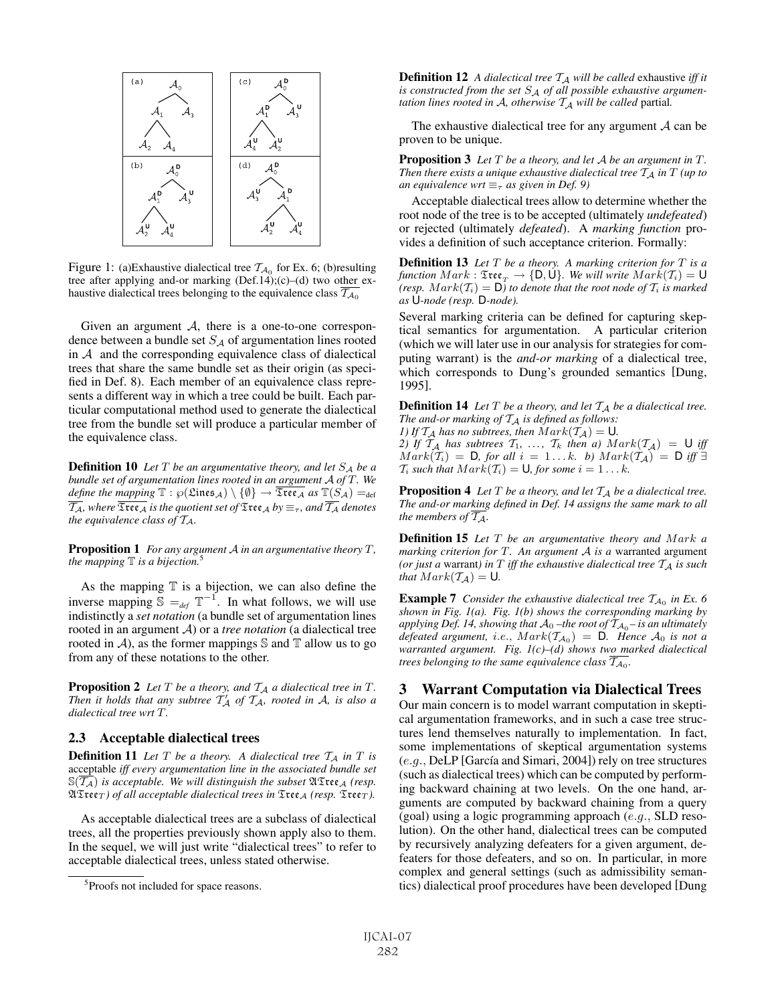

Figure 1: (a)Exhaustive dialectical tree  $\mathcal{T}_{A_0}$  for Ex. 6; (b)resulting tree after applying and-or marking (Def.14);(c)–(d) two other exhaustive dialectical trees belonging to the equivalence class  $\mathcal{T}_{A_0}$ 

Given an argument  $A$ , there is a one-to-one correspondence between a bundle set  $S_A$  of argumentation lines rooted in  $A$  and the corresponding equivalence class of dialectical trees that share the same bundle set as their origin (as specified in Def. 8). Each member of an equivalence class represents a different way in which a tree could be built. Each particular computational method used to generate the dialectical tree from the bundle set will produce a particular member of the equivalence class.

**Definition 10** Let  $T$  be an argumentative theory, and let  $S_A$  be a *bundle set of argumentation lines rooted in an argument* <sup>A</sup> *of* T*. We define the mapping*  $\mathbb{T}$  :  $\wp(\mathfrak{Lines}_\mathcal{A}) \setminus \{\emptyset\} \to \overline{\mathfrak{Tree}_\mathcal{A}}$  *as*  $\mathbb{T}(S_\mathcal{A}) =_{def}$  $\overline{\mathcal{T}_A}$ *, where*  $\overline{\mathfrak{Tree}_A}$  *is the quotient set of*  $\mathfrak{Tree}_A$  *by*  $\equiv_{\tau}$ *, and*  $\overline{\mathcal{T}_A}$  *denotes the equivalence class of* TA*.*

Proposition 1 *For any argument* <sup>A</sup> *in an argumentative theory* T*, the mapping*  $\mathbb T$  *is a bijection.*<sup>5</sup>

As the mapping  $T$  is a bijection, we can also define the inverse mapping  $\mathbb{S} =_{def} \mathbb{T}^{-1}$ . In what follows, we will use indistinctly a *set notation* (a bundle set of argumentation lines rooted in an argument A) or a *tree notation* (a dialectical tree rooted in A), as the former mappings  $\mathbb S$  and  $\mathbb T$  allow us to go from any of these notations to the other.

**Proposition 2** Let  $T$  be a theory, and  $T_A$  a dialectical tree in  $T$ . *Then it holds that any subtree*  $T_A$  *of*  $T_A$ *, rooted in*  $A$ *, is also a* distribution of  $T_A$ *dialectical tree wrt* T*.*

#### 2.3 Acceptable dialectical trees

**Definition 11** Let  $T$  be a theory. A dialectical tree  $T_A$  in  $T$  is acceptable *iff every argumentation line in the associated bundle set*  $\mathbb{S}(\overline{\mathcal{T}_\mathcal{A}})$  *is acceptable. We will distinguish the subset*  $\mathfrak{ATree}_{\mathcal{A}}$  *(resp.*  $\mathfrak{ATree}_T$ *) of all acceptable dialectical trees in*  $\mathfrak{Tree}_A$  *(resp.*  $\mathfrak{Tree}_T$ *).* 

As acceptable dialectical trees are a subclass of dialectical trees, all the properties previously shown apply also to them. In the sequel, we will just write "dialectical trees" to refer to acceptable dialectical trees, unless stated otherwise.

**Definition 12** *A dialectical tree*  $T_A$  *will be called* exhaustive *iff it* is constructed from the set  $S_A$  of all possible exhaustive argumen*tation lines rooted in A, otherwise*  $T_A$  *will be called partial.* 

The exhaustive dialectical tree for any argument  $A$  can be proven to be unique.

Proposition 3 *Let* <sup>T</sup> *be a theory, and let* <sup>A</sup> *be an argument in* <sup>T</sup>*. Then there exists a unique exhaustive dialectical tree*  $T_A$  *in*  $T$  *(up to an equivalence wrt*  $\equiv_{\tau}$  *as given in Def. 9*)

Acceptable dialectical trees allow to determine whether the root node of the tree is to be accepted (ultimately *undefeated*) or rejected (ultimately *defeated*). A *marking function* provides a definition of such acceptance criterion. Formally:

Definition 13 *Let* <sup>T</sup> *be a theory. A marking criterion for* <sup>T</sup> *is a function*  $Mark: \mathfrak{Tree}_T \to \{\mathsf{D},\mathsf{U}\}\text{. We will write } Mark(\mathcal{T}_i) = \mathsf{U}$ *(resp.*  $Mark(T_i) = D$ *) to denote that the root node of*  $T_i$  *is marked as* U*-node (resp.* D*-node).*

Several marking criteria can be defined for capturing skeptical semantics for argumentation. A particular criterion (which we will later use in our analysis for strategies for computing warrant) is the *and-or marking* of a dialectical tree, which corresponds to Dung's grounded semantics [Dung, 1995].

**Definition 14** Let  $T$  be a theory, and let  $T_A$  be a dialectical tree. The and-or marking of  $T_A$  is defined as follows:

*1)* If  $T_A$  has no subtrees, then  $Mark(T_A) = \mathsf{U}$ . *2)* If  $\mathcal{T}_A$  has subtrees  $\mathcal{T}_1, \ldots, \mathcal{T}_k$  then a)  $Mark(\mathcal{T}_A) = \bigcup_{i \in \mathcal{F}} \mathcal{T}_A$   $Mark(\mathcal{T}_i) = \bigcap_{i \in \mathcal{F}} \text{ for all } i = 1, k, h) Mark(\mathcal{T}_A) = \bigcap_{i \in \mathcal{F}} \mathcal{T}_A$  $Mark(\tilde{T}_i) = D$ , for all  $i = 1...k$ . b)  $Mark(\tilde{T}_A) = D$  *iff*  $\exists$ <br>T. such that  $Mark(T_i) = U$  for some  $i = 1 - k$  $\mathcal{T}_i$  *such that*  $Mark(\mathcal{T}_i) = \mathsf{U}$ *, for some*  $i = 1 \dots k$ *.* 

**Proposition 4** Let  $T$  be a theory, and let  $T_A$  be a dialectical tree. *The and-or marking defined in Def. 14 assigns the same mark to all the members of*  $\overline{\mathcal{T}_A}$ *.* 

Definition 15 *Let* T *be an argumentative theory and* Mark *<sup>a</sup> marking criterion for* T*. An argument* <sup>A</sup> *is a* warranted argument *(or just a warrant) in*  $T$  *iff the exhaustive dialectical tree*  $T_A$  *is such that*  $Mark(\mathcal{T}_{\mathcal{A}}) = U$ *.* 

**Example 7** *Consider the exhaustive dialectical tree*  $T_{A_0}$  *in Ex.* 6 *shown in Fig. 1(a). Fig. 1(b) shows the corresponding marking by applying Def. 14, showing that*  $A_0$  –the root of  $T_{A_0}$ – is an ultimately *defeated argument, i.e.,*  $Mark(\mathcal{T}_{\mathcal{A}_0}) = \mathsf{D}$ . Hence  $\mathcal{A}_0$  *is not a warranted argument. Fig. 1(c)–(d) shows two marked dialectical trees belonging to the same equivalence class*  $\overline{T_{A_0}}$ *.* 

## 3 Warrant Computation via Dialectical Trees

Our main concern is to model warrant computation in skeptical argumentation frameworks, and in such a case tree structures lend themselves naturally to implementation. In fact, some implementations of skeptical argumentation systems  $(e.g., \text{DelP}$  [García and Simari, 2004]) rely on tree structures (such as dialectical trees) which can be computed by performing backward chaining at two levels. On the one hand, arguments are computed by backward chaining from a query (goal) using a logic programming approach (e.g., SLD resolution). On the other hand, dialectical trees can be computed by recursively analyzing defeaters for a given argument, defeaters for those defeaters, and so on. In particular, in more complex and general settings (such as admissibility semantics) dialectical proof procedures have been developed [Dung

<sup>5</sup> Proofs not included for space reasons.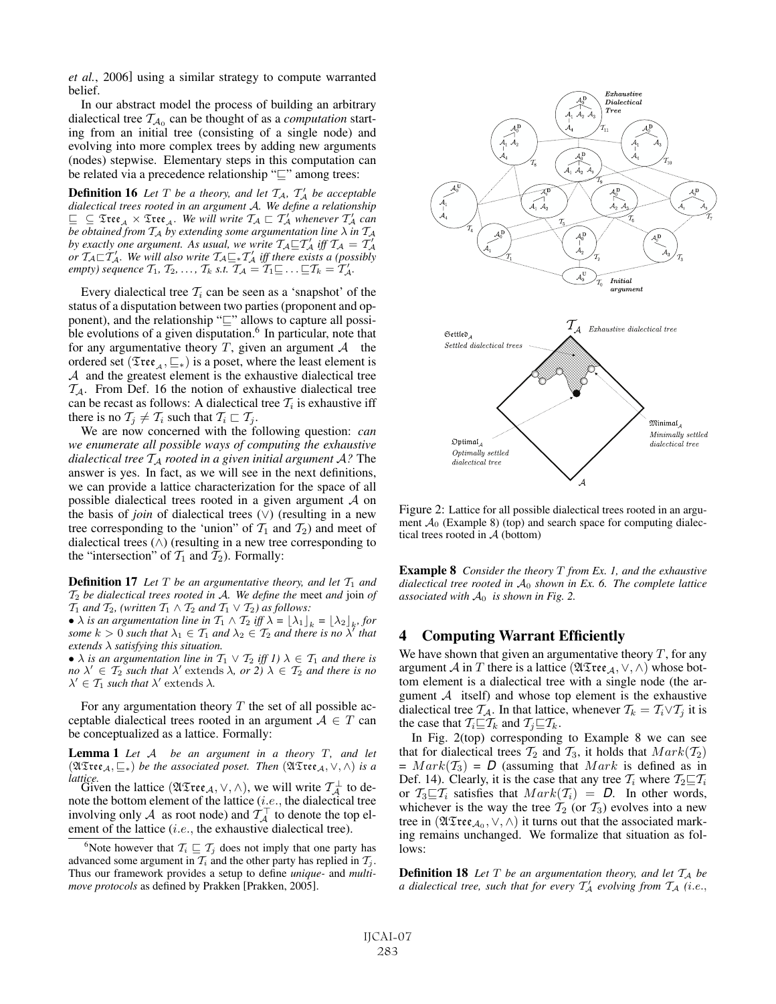*et al.*, 2006] using a similar strategy to compute warranted belief.

In our abstract model the process of building an arbitrary dialectical tree  $T_{A_0}$  can be thought of as a *computation* starting from an initial tree (consisting of a single node) and evolving into more complex trees by adding new arguments (nodes) stepwise. Elementary steps in this computation can be related via a precedence relationship " $\subseteq$ " among trees:

**Definition 16** Let T be a theory, and let  $T_A$ ,  $T_A$  be acceptable<br>dialectical trees rooted in an argument A. We define a relationship *dialectical trees rooted in an argument* A*. We define a relationship*  $\subseteq$   $\subseteq$   $\mathfrak{T}$ tee<sub>A</sub>  $\times$   $\mathfrak{T}$ tee<sub>A</sub>. We will write  $\mathcal{T}_\mathcal{A} \sqsubset \mathcal{T}'_\mathcal{A}$  whenever  $\mathcal{T}'_\mathcal{A}$  can *be obtained from* <sup>T</sup><sup>A</sup> *by extending some argumentation line* <sup>λ</sup> *in* <sup>T</sup><sup>A</sup> by exactly one argument. As usual, we write  $\mathcal{T}_A \sqsubseteq \mathcal{T}'_A$  iff  $\mathcal{T}_A = \mathcal{T}'_A$ or  $T_A \square T'_A$ . We will also write  $T_A \square * T'_A$  iff there exists a (possibly empty) sequence  $T_1$ ,  $T_2$ , ...,  $T_k$  s.t.  $T_A = T_1 \square \dots \square T_k = T'_A$ .

Every dialectical tree  $\mathcal{T}_i$  can be seen as a 'snapshot' of the status of a disputation between two parties (proponent and opponent), and the relationship " $\sqsubseteq$ " allows to capture all possible evolutions of a given disputation.<sup>6</sup> In particular, note that for any argumentative theory  $T$ , given an argument  $A$  the ordered set ( $\mathfrak{Tree}_A, \sqsubseteq_{*}$ ) is a poset, where the least element is  $A$  and the greatest element is the exhaustive dialectical tree  $\mathcal{T}_{A}$ . From Def. 16 the notion of exhaustive dialectical tree can be recast as follows: A dialectical tree  $\mathcal{T}_i$  is exhaustive iff there is no  $\mathcal{T}_j \neq \mathcal{T}_i$  such that  $\mathcal{T}_i \sqsubset \mathcal{T}_j$ .

We are now concerned with the following question: *can we enumerate all possible ways of computing the exhaustive dialectical tree*  $T_A$  *rooted in a given initial argument*  $A$ ? The answer is yes. In fact, as we will see in the next definitions, we can provide a lattice characterization for the space of all possible dialectical trees rooted in a given argument  $A$  on the basis of *join* of dialectical trees (∨) (resulting in a new tree corresponding to the 'union" of  $T_1$  and  $T_2$ ) and meet of dialectical trees (∧) (resulting in a new tree corresponding to the "intersection" of  $\mathcal{T}_1$  and  $\mathcal{T}_2$ ). Formally:

**Definition 17** Let  $T$  be an argumentative theory, and let  $T_1$  and T<sup>2</sup> *be dialectical trees rooted in* A*. We define the* meet *and* join *of*  $T_1$  *and*  $T_2$ *, (written*  $T_1 \wedge T_2$  *and*  $T_1 \vee T_2$ *) as follows:* 

•  $\lambda$  *is an argumentation line in*  $T_1 \wedge T_2$  *iff*  $\lambda = [\lambda_1]_k = [\lambda_2]_k$ *, for some*  $k > 0$  *such that*  $\lambda_1 \in \mathcal{T}_1$  *and*  $\lambda_2 \in \mathcal{T}_2$  *and there is no*  $\lambda^r$  *that extends* λ *satisfying this situation.*

•  $\lambda$  *is an argumentation line in*  $T_1 \vee T_2$  *iff 1)*  $\lambda \in T_1$  *and there is no*  $\lambda' \in \mathcal{T}_2$  *such that*  $\lambda'$  extends  $\lambda$ *, or* 2*)*  $\lambda \in \mathcal{T}_2$  *and there is no*  $\lambda' \in \mathcal{T}_1$  *such that*  $\lambda'$  extends  $\lambda$ .

For any argumentation theory  $T$  the set of all possible acceptable dialectical trees rooted in an argument  $A \in T$  can be conceptualized as a lattice. Formally:

Lemma 1 *Let* <sup>A</sup> *be an argument in a theory* <sup>T</sup>*, and let*  $(\mathfrak{ATree}_{\mathcal{A}}, \sqsubseteq_{\ast})$  *be the associated poset. Then*  $(\mathfrak{ATree}_{\mathcal{A}}, \vee, \wedge)$  *is a* 

*lattice.*<br>
Given the lattice ( $\mathfrak{A}\mathfrak{X}\mathfrak{ree}_\mathcal{A}, \vee, \wedge$ ), we will write  $\mathcal{T}_\mathcal{A}^\perp$  to de-<br>
note the bottom element of the lattice *(i e* the dialectical tree note the bottom element of the lattice (*i.e.*, the dialectical tree involving only A as root node) and  $T_A^{\top}$  to denote the top element of the lattice (*i.e.*, the exhaustive dialectical tree).



Figure 2: Lattice for all possible dialectical trees rooted in an argument  $A_0$  (Example 8) (top) and search space for computing dialectical trees rooted in  $A$  (bottom)

Example 8 *Consider the theory* T *from Ex. 1, and the exhaustive dialectical tree rooted in* A<sup>0</sup> *shown in Ex. 6. The complete lattice associated with*  $A_0$  *is shown in Fig. 2.* 

## 4 Computing Warrant Efficiently

We have shown that given an argumentative theory  $T$ , for any argument A in T there is a lattice ( $\mathfrak{ATree}_A$ ,  $\vee$ ,  $\wedge$ ) whose bottom element is a dialectical tree with a single node (the argument  $A$  itself) and whose top element is the exhaustive dialectical tree  $\mathcal{T}_\mathcal{A}$ . In that lattice, whenever  $\mathcal{T}_k = \mathcal{T}_i \vee \mathcal{T}_j$  it is the case that  $\mathcal{T}_i \sqsubseteq \mathcal{T}_k$  and  $\mathcal{T}_j \sqsubseteq \mathcal{T}_k$ .

In Fig. 2(top) corresponding to Example 8 we can see that for dialectical trees  $T_2$  and  $T_3$ , it holds that  $Mark(T_2)$  $= Mark(T_3) = D$  (assuming that *Mark* is defined as in Def. 14). Clearly, it is the case that any tree  $\mathcal{T}_i$  where  $\mathcal{T}_2 \square \mathcal{T}_i$ or  $\mathcal{T}_3 \sqsubseteq \mathcal{T}_i$  satisfies that  $Mark(\mathcal{T}_i) = D$ . In other words, whichever is the way the tree  $\mathcal{T}_2$  (or  $\mathcal{T}_3$ ) evolves into a new tree in  $(\mathfrak{ATree}_{\mathcal{A}_0}, \vee, \wedge)$  it turns out that the associated marking remains unchanged. We formalize that situation as follows:

**Definition 18** Let  $T$  be an argumentation theory, and let  $T_A$  be *a dialectical tree, such that for every*  $T_A$  *evolving from*  $T_A$  *(i.e.,* 

<sup>&</sup>lt;sup>6</sup>Note however that  $\mathcal{T}_i \sqsubseteq \mathcal{T}_j$  does not imply that one party has advanced some argument in  $\mathcal{T}_i$  and the other party has replied in  $\mathcal{T}_j$ . Thus our framework provides a setup to define *unique-* and *multimove protocols* as defined by Prakken [Prakken, 2005].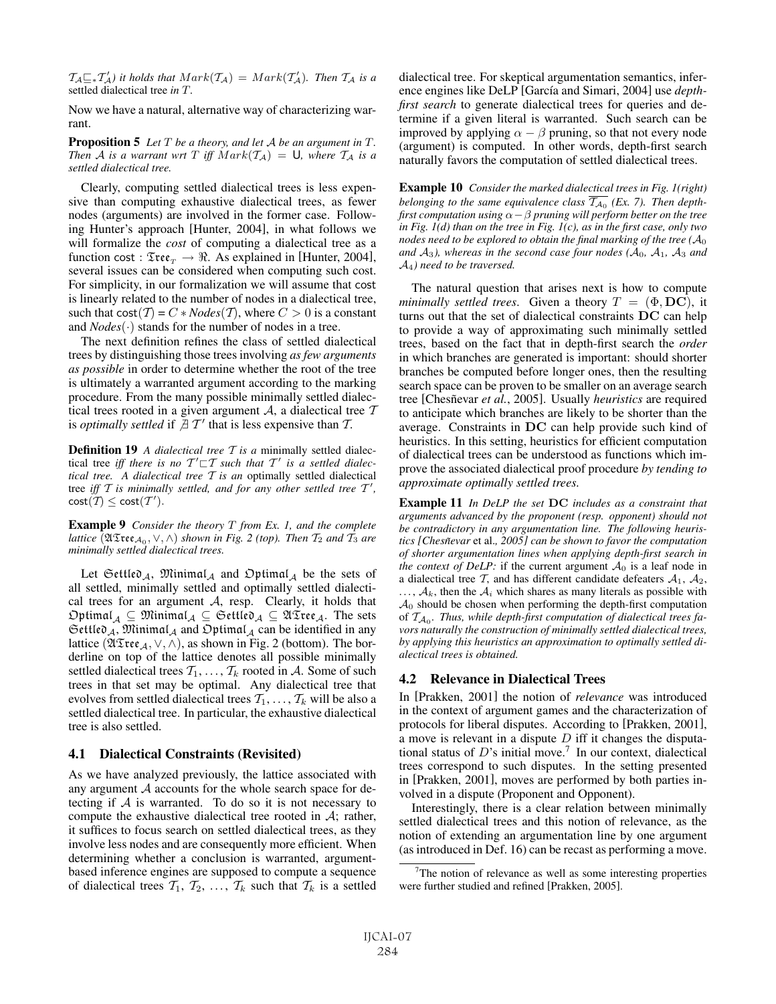$\mathcal{T}_A \sqsubseteq_* \mathcal{T}'_A$  it holds that  $Mark(\mathcal{T}_A) = Mark(\mathcal{T}'_A)$ . Then  $\mathcal{T}_A$  is a settled dialectical tree in  $T$ settled dialectical tree *in* T*.*

Now we have a natural, alternative way of characterizing warrant.

Proposition 5 *Let* <sup>T</sup> *be a theory, and let* <sup>A</sup> *be an argument in* <sup>T</sup>*. Then* A *is a warrant wrt* T *iff*  $Mark(\mathcal{T}_A) = U$ *, where*  $\mathcal{T}_A$  *is a settled dialectical tree.*

Clearly, computing settled dialectical trees is less expensive than computing exhaustive dialectical trees, as fewer nodes (arguments) are involved in the former case. Following Hunter's approach [Hunter, 2004], in what follows we will formalize the *cost* of computing a dialectical tree as a function cost :  $\mathfrak{Tree}_T \to \mathbb{R}$ . As explained in [Hunter, 2004], several issues can be considered when computing such cost. For simplicity, in our formalization we will assume that cost is linearly related to the number of nodes in a dialectical tree, such that  $cost(T) = C * Nodes(T)$ , where  $C > 0$  is a constant and *Nodes*(·) stands for the number of nodes in a tree.

The next definition refines the class of settled dialectical trees by distinguishing those trees involving *as few arguments as possible* in order to determine whether the root of the tree is ultimately a warranted argument according to the marking procedure. From the many possible minimally settled dialectical trees rooted in a given argument A, a dialectical tree  $T$ is *optimally settled* if  $\exists T'$  that is less expensive than T.

**Definition 19** *A dialectical tree T is a* minimally settled dialectical tree *iff there is no*  $T' \sqsubset T$  *such that*  $T'$  *is a settled dialectical tree. A dialectical tree* T *is an* optimally settled dialectical tree iff  $T$  is minimally settled, and for any other settled tree  $T'$ ,  $cost(T) \leq cost(T').$ 

Example 9 *Consider the theory* T *from Ex. 1, and the complete lattice* ( $\mathfrak{ATree}_{A_0}, \vee, \wedge$ ) *shown in Fig. 2 (top). Then*  $T_2$  *and*  $T_3$  *are minimally settled dialectical trees.*

Let Gettled<sub>A</sub>, Minimal<sub>A</sub> and Optimal<sub>A</sub> be the sets of all settled, minimally settled and optimally settled dialectical trees for an argument  $A$ , resp. Clearly, it holds that  $\text{Optimal}_{\mathcal{A}} \subseteq \mathfrak{Minimal}_{\mathcal{A}} \subseteq \text{Settlev}_{\mathcal{A}} \subseteq \mathfrak{UTree}_{\mathcal{A}}.$  The sets  $\mathfrak{Set}$ tle $\mathfrak{d}_A$ , Minimal<sub>A</sub> and  $\mathfrak{Optimal}_A$  can be identified in any lattice ( $\mathfrak{ATree}_\mathcal{A}, \vee, \wedge$ ), as shown in Fig. 2 (bottom). The borderline on top of the lattice denotes all possible minimally settled dialectical trees  $T_1, \ldots, T_k$  rooted in A. Some of such trees in that set may be optimal. Any dialectical tree that evolves from settled dialectical trees  $T_1, \ldots, T_k$  will be also a settled dialectical tree. In particular, the exhaustive dialectical tree is also settled.

#### 4.1 Dialectical Constraints (Revisited)

As we have analyzed previously, the lattice associated with any argument  $A$  accounts for the whole search space for detecting if  $A$  is warranted. To do so it is not necessary to compute the exhaustive dialectical tree rooted in  $A$ ; rather, it suffices to focus search on settled dialectical trees, as they involve less nodes and are consequently more efficient. When determining whether a conclusion is warranted, argumentbased inference engines are supposed to compute a sequence of dialectical trees  $T_1, T_2, \ldots, T_k$  such that  $T_k$  is a settled dialectical tree. For skeptical argumentation semantics, inference engines like DeLP [García and Simari, 2004] use *depthfirst search* to generate dialectical trees for queries and determine if a given literal is warranted. Such search can be improved by applying  $\alpha - \beta$  pruning, so that not every node (argument) is computed. In other words, depth-first search naturally favors the computation of settled dialectical trees.

Example 10 *Consider the marked dialectical trees in Fig. 1(right) belonging to the same equivalence class*  $\overline{T_{A_0}}$  (*Ex. 7*). Then depth*first computation using*  $\alpha-\beta$  *pruning will perform better on the tree in Fig. 1(d) than on the tree in Fig. 1(c), as in the first case, only two nodes need to be explored to obtain the final marking of the tree (* $A_0$ *)* and  $A_3$ *), whereas in the second case four nodes (* $A_0$ *,*  $A_1$ *,*  $A_3$  *and* A4*) need to be traversed.*

The natural question that arises next is how to compute *minimally settled trees.* Given a theory  $T = (\Phi, \mathbf{DC})$ , it turns out that the set of dialectical constraints **DC** can help to provide a way of approximating such minimally settled trees, based on the fact that in depth-first search the *order* in which branches are generated is important: should shorter branches be computed before longer ones, then the resulting search space can be proven to be smaller on an average search tree [Chesñevar et al., 2005]. Usually *heuristics* are required to anticipate which branches are likely to be shorter than the average. Constraints in **DC** can help provide such kind of heuristics. In this setting, heuristics for efficient computation of dialectical trees can be understood as functions which improve the associated dialectical proof procedure *by tending to approximate optimally settled trees.*

Example 11 *In DeLP the set* **DC** *includes as a constraint that arguments advanced by the proponent (resp. opponent) should not be contradictory in any argumentation line. The following heuristics [Chesnevar ˜* et al.*, 2005] can be shown to favor the computation of shorter argumentation lines when applying depth-first search in the context of DeLP:* if the current argument  $A_0$  is a leaf node in a dialectical tree  $\mathcal{T}$ , and has different candidate defeaters  $\mathcal{A}_1$ ,  $\mathcal{A}_2$ ,  $\ldots$ ,  $A_k$ , then the  $A_i$  which shares as many literals as possible with  $A_0$  should be chosen when performing the depth-first computation of  $T_{A_0}$ . Thus, while depth-first computation of dialectical trees fa*vors naturally the construction of minimally settled dialectical trees, by applying this heuristics an approximation to optimally settled dialectical trees is obtained.*

### 4.2 Relevance in Dialectical Trees

In [Prakken, 2001] the notion of *relevance* was introduced in the context of argument games and the characterization of protocols for liberal disputes. According to [Prakken, 2001], a move is relevant in a dispute  $D$  iff it changes the disputational status of  $D$ 's initial move.<sup>7</sup> In our context, dialectical trees correspond to such disputes. In the setting presented in [Prakken, 2001], moves are performed by both parties involved in a dispute (Proponent and Opponent).

Interestingly, there is a clear relation between minimally settled dialectical trees and this notion of relevance, as the notion of extending an argumentation line by one argument (as introduced in Def. 16) can be recast as performing a move.

<sup>&</sup>lt;sup>7</sup>The notion of relevance as well as some interesting properties were further studied and refined [Prakken, 2005].